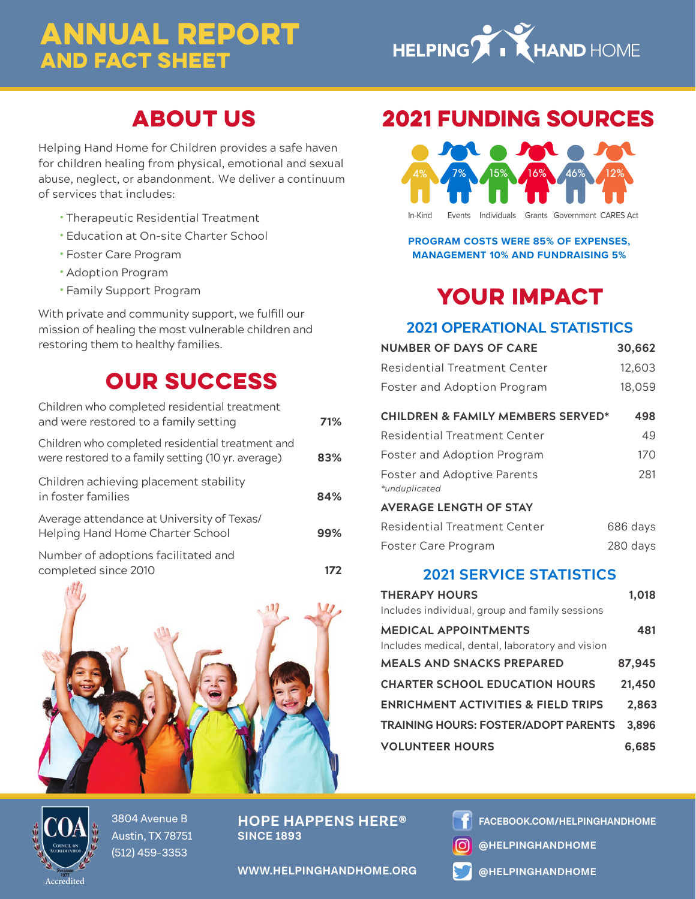## ANNUAL REPORT AND FACT SHEET



## ABOUT US

Helping Hand Home for Children provides a safe haven for children healing from physical, emotional and sexual abuse, neglect, or abandonment. We deliver a continuum of services that includes:

- **•** Therapeutic Residential Treatment
- **•** Education at On-site Charter School
- **•** Foster Care Program
- **•** Adoption Program
- **•** Family Support Program

With private and community support, we fulfill our mission of healing the most vulnerable children and restoring them to healthy families.

## OUR SUCCESS

| Children who completed residential treatment<br>and were restored to a family setting                  | 71% |
|--------------------------------------------------------------------------------------------------------|-----|
| Children who completed residential treatment and<br>were restored to a family setting (10 yr. average) | 83% |
| Children achieving placement stability<br>in foster families                                           | 84% |
| Average attendance at University of Texas/<br>Helping Hand Home Charter School                         | 99% |
| Number of adoptions facilitated and<br>completed since 2010                                            |     |



### 2021 FUNDING SOURCES



**PROGRAM COSTS WERE 85% OF EXPENSES, MANAGEMENT 10% AND FUNDRAISING 5%**

## YOUR IMPACT

### **2021 OPERATIONAL STATISTICS**

| <b>NUMBER OF DAYS OF CARE</b>                | 30,662   |
|----------------------------------------------|----------|
| Residential Treatment Center                 | 12,603   |
| Foster and Adoption Program                  | 18,059   |
| <b>CHILDREN &amp; FAMILY MEMBERS SERVED*</b> | 498      |
| Residential Treatment Center                 | 49       |
| Foster and Adoption Program                  | 170      |
| Foster and Adoptive Parents<br>*unduplicated | 281      |
| <b>AVERAGE LENGTH OF STAY</b>                |          |
| Residential Treatment Center                 | 686 days |
| Foster Care Program                          | 280 days |

### **2021 SERVICE STATISTICS**

| <b>THERAPY HOURS</b><br>Includes individual, group and family sessions         | 1.018  |
|--------------------------------------------------------------------------------|--------|
| <b>MEDICAL APPOINTMENTS</b><br>Includes medical, dental, laboratory and vision | 481    |
| <b>MEALS AND SNACKS PREPARED</b>                                               | 87,945 |
| <b>CHARTER SCHOOL EDUCATION HOURS</b>                                          | 21,450 |
| <b>ENRICHMENT ACTIVITIES &amp; FIELD TRIPS</b>                                 | 2.863  |
| <b>TRAINING HOURS: FOSTER/ADOPT PARENTS</b>                                    | 3.896  |
| <b>VOLUNTEER HOURS</b>                                                         | 6.685  |



3804 Avenue B Austin, TX 78751 (512) 459-3353

**HOPE HAPPENS HERE® SINCE 1893**

**FACEBOOK.COM/HELPINGHANDHOME**

**@HELPINGHANDHOME**

**WWW.HELPINGHANDHOME.ORG**

**@HELPINGHANDHOME**